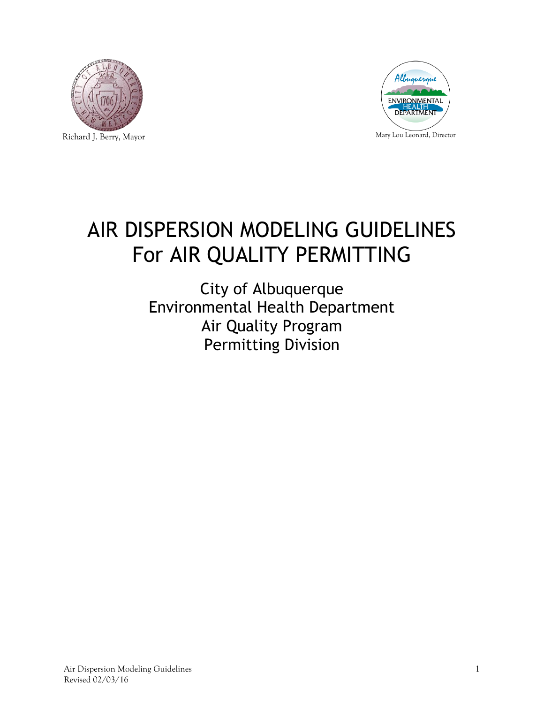



# AIR DISPERSION MODELING GUIDELINES For AIR QUALITY PERMITTING

City of Albuquerque Environmental Health Department Air Quality Program Permitting Division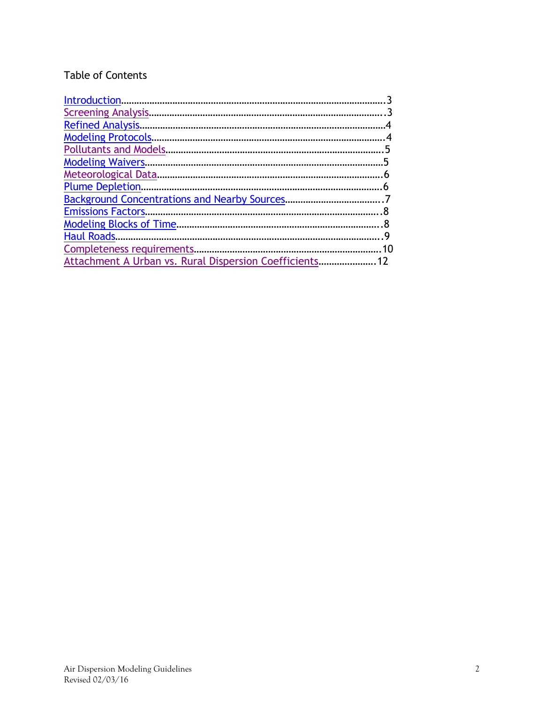# Table of Contents

<span id="page-1-0"></span>

| <b>Modeling Protocols</b>                               |  |
|---------------------------------------------------------|--|
|                                                         |  |
|                                                         |  |
|                                                         |  |
|                                                         |  |
|                                                         |  |
|                                                         |  |
|                                                         |  |
|                                                         |  |
|                                                         |  |
| Attachment A Urban vs. Rural Dispersion Coefficients 12 |  |
|                                                         |  |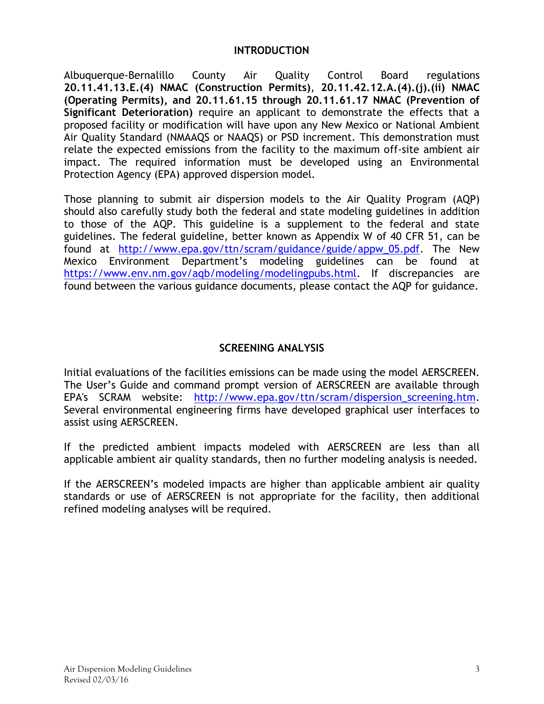#### **INTRODUCTION**

Albuquerque-Bernalillo County Air Quality Control Board regulations **20.11.41.13.E.(4) NMAC (Construction Permits)**, **20.11.42.12.A.(4).(j).(ii) NMAC (Operating Permits), and 20.11.61.15 through 20.11.61.17 NMAC (Prevention of Significant Deterioration)** require an applicant to demonstrate the effects that a proposed facility or modification will have upon any New Mexico or National Ambient Air Quality Standard (NMAAQS or NAAQS) or PSD increment. This demonstration must relate the expected emissions from the facility to the maximum off-site ambient air impact. The required information must be developed using an Environmental Protection Agency (EPA) approved dispersion model.

Those planning to submit air dispersion models to the Air Quality Program (AQP) should also carefully study both the federal and state modeling guidelines in addition to those of the AQP. This guideline is a supplement to the federal and state guidelines. The federal guideline, better known as Appendix W of 40 CFR 51, can be found at [http://www.epa.gov/ttn/scram/guidance/guide/appw\\_05.pdf.](http://www.epa.gov/ttn/scram/guidance/guide/appw_05.pdf) The New Mexico Environment Department's modeling guidelines can be found at [https://www.env.nm.gov/aqb/modeling/modelingpubs.html.](https://www.env.nm.gov/aqb/modeling/modelingpubs.html) If discrepancies are found between the various guidance documents, please contact the AQP for guidance.

#### **SCREENING ANALYSIS**

<span id="page-2-0"></span>Initial evaluations of the facilities emissions can be made using the model AERSCREEN. The User's Guide and command prompt version of AERSCREEN are available through EPA's SCRAM website: [http://www.epa.gov/ttn/scram/dispersion\\_screening.htm.](http://www.epa.gov/ttn/scram/dispersion_screening.htm) Several environmental engineering firms have developed graphical user interfaces to assist using AERSCREEN.

If the predicted ambient impacts modeled with AERSCREEN are less than all applicable ambient air quality standards, then no further modeling analysis is needed.

If the AERSCREEN's modeled impacts are higher than applicable ambient air quality standards or use of AERSCREEN is not appropriate for the facility, then additional refined modeling analyses will be required.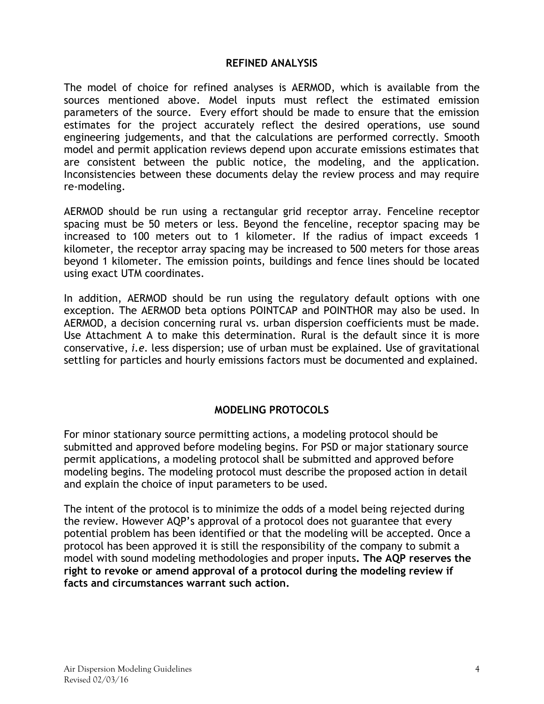#### **REFINED ANALYSIS**

<span id="page-3-0"></span>The model of choice for refined analyses is AERMOD, which is available from the sources mentioned above. Model inputs must reflect the estimated emission parameters of the source. Every effort should be made to ensure that the emission estimates for the project accurately reflect the desired operations, use sound engineering judgements, and that the calculations are performed correctly. Smooth model and permit application reviews depend upon accurate emissions estimates that are consistent between the public notice, the modeling, and the application. Inconsistencies between these documents delay the review process and may require re-modeling.

AERMOD should be run using a rectangular grid receptor array. Fenceline receptor spacing must be 50 meters or less. Beyond the fenceline, receptor spacing may be increased to 100 meters out to 1 kilometer. If the radius of impact exceeds 1 kilometer, the receptor array spacing may be increased to 500 meters for those areas beyond 1 kilometer. The emission points, buildings and fence lines should be located using exact UTM coordinates.

In addition, AERMOD should be run using the regulatory default options with one exception. The AERMOD beta options POINTCAP and POINTHOR may also be used. In AERMOD, a decision concerning rural vs. urban dispersion coefficients must be made. Use Attachment A to make this determination. Rural is the default since it is more conservative, *i.e.* less dispersion; use of urban must be explained. Use of gravitational settling for particles and hourly emissions factors must be documented and explained.

# **MODELING PROTOCOLS**

<span id="page-3-1"></span>For minor stationary source permitting actions, a modeling protocol should be submitted and approved before modeling begins. For PSD or major stationary source permit applications, a modeling protocol shall be submitted and approved before modeling begins. The modeling protocol must describe the proposed action in detail and explain the choice of input parameters to be used.

<span id="page-3-2"></span>The intent of the protocol is to minimize the odds of a model being rejected during the review. However AQP's approval of a protocol does not guarantee that every potential problem has been identified or that the modeling will be accepted. Once a protocol has been approved it is still the responsibility of the company to submit a model with sound modeling methodologies and proper inputs**. The AQP reserves the right to revoke or amend approval of a protocol during the modeling review if facts and circumstances warrant such action.**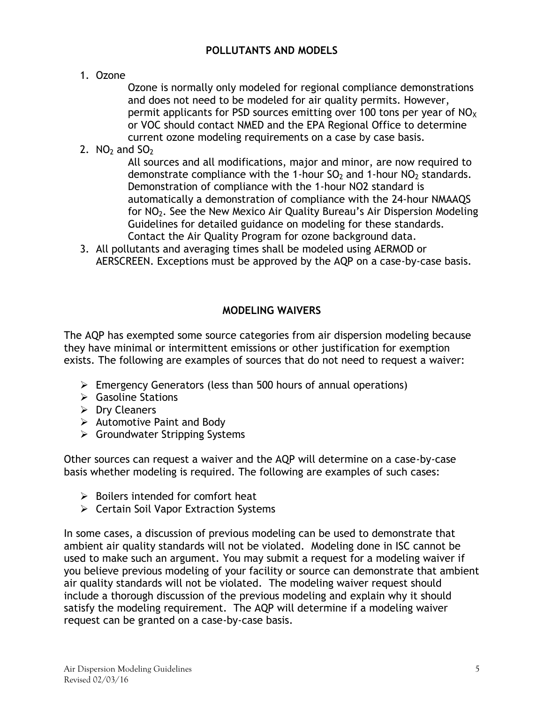# **POLLUTANTS AND MODELS**

1. Ozone

Ozone is normally only modeled for regional compliance demonstrations and does not need to be modeled for air quality permits. However, permit applicants for PSD sources emitting over 100 tons per year of  $NO<sub>x</sub>$ or VOC should contact NMED and the EPA Regional Office to determine current ozone modeling requirements on a case by case basis.

2.  $NO<sub>2</sub>$  and  $SO<sub>2</sub>$ 

All sources and all modifications, major and minor, are now required to demonstrate compliance with the 1-hour  $SO_2$  and 1-hour  $NO_2$  standards. Demonstration of compliance with the 1-hour NO2 standard is automatically a demonstration of compliance with the 24-hour NMAAQS for NO2. See the New Mexico Air Quality Bureau's Air Dispersion Modeling Guidelines for detailed guidance on modeling for these standards. Contact the Air Quality Program for ozone background data.

3. All pollutants and averaging times shall be modeled using AERMOD or AERSCREEN. Exceptions must be approved by the AQP on a case-by-case basis.

#### **MODELING WAIVERS**

<span id="page-4-0"></span>The AQP has exempted some source categories from air dispersion modeling because they have minimal or intermittent emissions or other justification for exemption exists. The following are examples of sources that do not need to request a waiver:

- $\triangleright$  Emergency Generators (less than 500 hours of annual operations)
- $\triangleright$  Gasoline Stations
- $\triangleright$  Dry Cleaners
- $\triangleright$  Automotive Paint and Body
- $\triangleright$  Groundwater Stripping Systems

Other sources can request a waiver and the AQP will determine on a case-by-case basis whether modeling is required. The following are examples of such cases:

- $\triangleright$  Boilers intended for comfort heat
- $\triangleright$  Certain Soil Vapor Extraction Systems

In some cases, a discussion of previous modeling can be used to demonstrate that ambient air quality standards will not be violated. Modeling done in ISC cannot be used to make such an argument. You may submit a request for a modeling waiver if you believe previous modeling of your facility or source can demonstrate that ambient air quality standards will not be violated. The modeling waiver request should include a thorough discussion of the previous modeling and explain why it should satisfy the modeling requirement. The AQP will determine if a modeling waiver request can be granted on a case-by-case basis.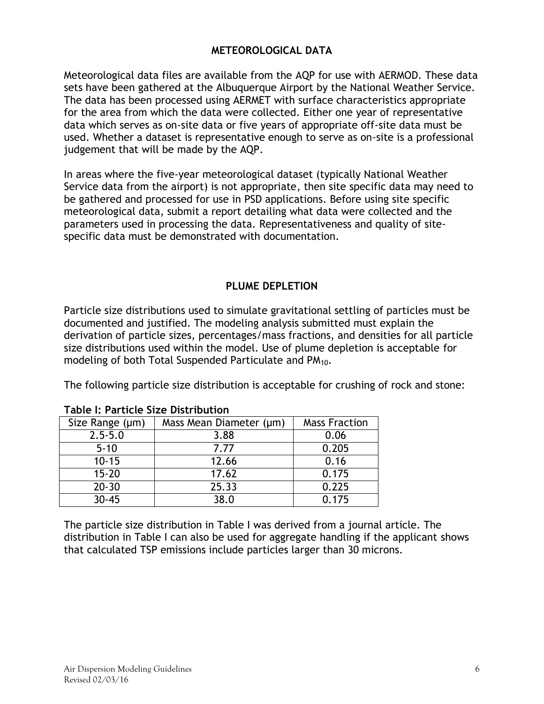## **METEOROLOGICAL DATA**

<span id="page-5-0"></span>Meteorological data files are available from the AQP for use with AERMOD. These data sets have been gathered at the Albuquerque Airport by the National Weather Service. The data has been processed using AERMET with surface characteristics appropriate for the area from which the data were collected. Either one year of representative data which serves as on-site data or five years of appropriate off-site data must be used. Whether a dataset is representative enough to serve as on-site is a professional judgement that will be made by the AQP.

In areas where the five-year meteorological dataset (typically National Weather Service data from the airport) is not appropriate, then site specific data may need to be gathered and processed for use in PSD applications. Before using site specific meteorological data, submit a report detailing what data were collected and the parameters used in processing the data. Representativeness and quality of sitespecific data must be demonstrated with documentation.

#### **PLUME DEPLETION**

<span id="page-5-1"></span>Particle size distributions used to simulate gravitational settling of particles must be documented and justified. The modeling analysis submitted must explain the derivation of particle sizes, percentages/mass fractions, and densities for all particle size distributions used within the model. Use of plume depletion is acceptable for modeling of both Total Suspended Particulate and PM<sub>10</sub>.

The following particle size distribution is acceptable for crushing of rock and stone:

| Size Range (µm) | Mass Mean Diameter (µm) | <b>Mass Fraction</b> |
|-----------------|-------------------------|----------------------|
| $2.5 - 5.0$     | 3.88                    | 0.06                 |
| $5 - 10$        | 7.77                    | 0.205                |
| $10 - 15$       | 12.66                   | 0.16                 |
| $15 - 20$       | 17.62                   | 0.175                |
| $20 - 30$       | 25.33                   | 0.225                |
| $30 - 45$       | 38.0                    | 0.175                |

#### **Table I: Particle Size Distribution**

The particle size distribution in Table I was derived from a journal article. The distribution in Table I can also be used for aggregate handling if the applicant shows that calculated TSP emissions include particles larger than 30 microns.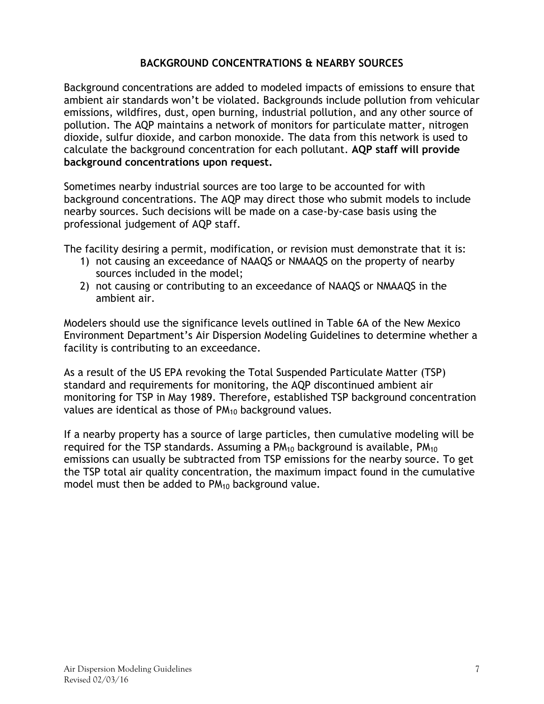# **BACKGROUND CONCENTRATIONS & NEARBY SOURCES**

<span id="page-6-0"></span>Background concentrations are added to modeled impacts of emissions to ensure that ambient air standards won't be violated. Backgrounds include pollution from vehicular emissions, wildfires, dust, open burning, industrial pollution, and any other source of pollution. The AQP maintains a network of monitors for particulate matter, nitrogen dioxide, sulfur dioxide, and carbon monoxide. The data from this network is used to calculate the background concentration for each pollutant. **AQP staff will provide background concentrations upon request.**

Sometimes nearby industrial sources are too large to be accounted for with background concentrations. The AQP may direct those who submit models to include nearby sources. Such decisions will be made on a case-by-case basis using the professional judgement of AQP staff.

The facility desiring a permit, modification, or revision must demonstrate that it is:

- 1) not causing an exceedance of NAAQS or NMAAQS on the property of nearby sources included in the model;
- 2) not causing or contributing to an exceedance of NAAQS or NMAAQS in the ambient air.

Modelers should use the significance levels outlined in Table 6A of the New Mexico Environment Department's Air Dispersion Modeling Guidelines to determine whether a facility is contributing to an exceedance.

As a result of the US EPA revoking the Total Suspended Particulate Matter (TSP) standard and requirements for monitoring, the AQP discontinued ambient air monitoring for TSP in May 1989. Therefore, established TSP background concentration values are identical as those of  $PM_{10}$  background values.

If a nearby property has a source of large particles, then cumulative modeling will be required for the TSP standards. Assuming a  $PM_{10}$  background is available,  $PM_{10}$ emissions can usually be subtracted from TSP emissions for the nearby source. To get the TSP total air quality concentration, the maximum impact found in the cumulative model must then be added to PM<sub>10</sub> background value.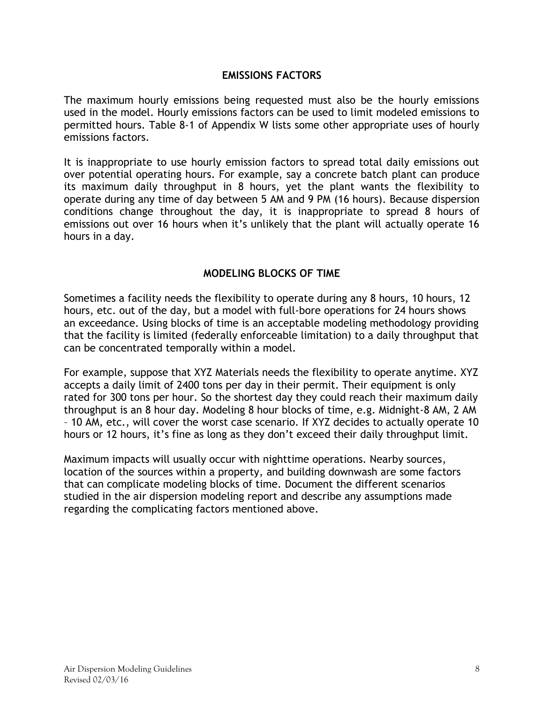#### **EMISSIONS FACTORS**

<span id="page-7-0"></span>The maximum hourly emissions being requested must also be the hourly emissions used in the model. Hourly emissions factors can be used to limit modeled emissions to permitted hours. Table 8-1 of Appendix W lists some other appropriate uses of hourly emissions factors.

It is inappropriate to use hourly emission factors to spread total daily emissions out over potential operating hours. For example, say a concrete batch plant can produce its maximum daily throughput in 8 hours, yet the plant wants the flexibility to operate during any time of day between 5 AM and 9 PM (16 hours). Because dispersion conditions change throughout the day, it is inappropriate to spread 8 hours of emissions out over 16 hours when it's unlikely that the plant will actually operate 16 hours in a day.

#### **MODELING BLOCKS OF TIME**

<span id="page-7-1"></span>Sometimes a facility needs the flexibility to operate during any 8 hours, 10 hours, 12 hours, etc. out of the day, but a model with full-bore operations for 24 hours shows an exceedance. Using blocks of time is an acceptable modeling methodology providing that the facility is limited (federally enforceable limitation) to a daily throughput that can be concentrated temporally within a model.

For example, suppose that XYZ Materials needs the flexibility to operate anytime. XYZ accepts a daily limit of 2400 tons per day in their permit. Their equipment is only rated for 300 tons per hour. So the shortest day they could reach their maximum daily throughput is an 8 hour day. Modeling 8 hour blocks of time, e.g. Midnight-8 AM, 2 AM – 10 AM, etc., will cover the worst case scenario. If XYZ decides to actually operate 10 hours or 12 hours, it's fine as long as they don't exceed their daily throughput limit.

Maximum impacts will usually occur with nighttime operations. Nearby sources, location of the sources within a property, and building downwash are some factors that can complicate modeling blocks of time. Document the different scenarios studied in the air dispersion modeling report and describe any assumptions made regarding the complicating factors mentioned above.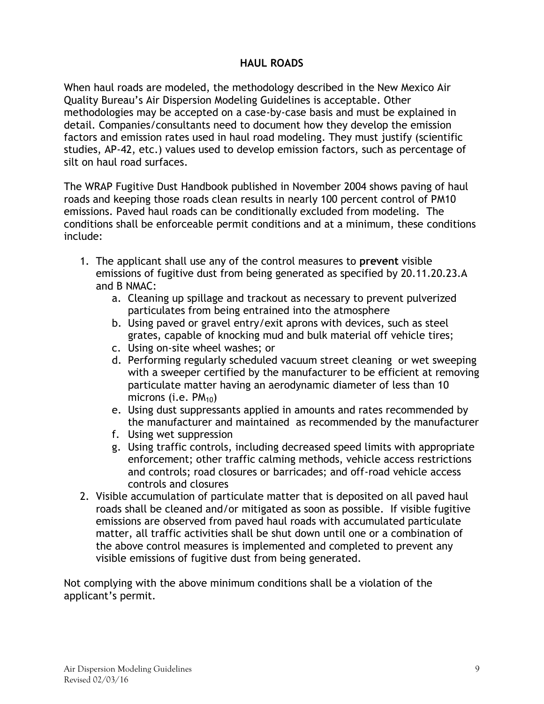# **HAUL ROADS**

<span id="page-8-0"></span>When haul roads are modeled, the methodology described in the New Mexico Air Quality Bureau's Air Dispersion Modeling Guidelines is acceptable. Other methodologies may be accepted on a case-by-case basis and must be explained in detail. Companies/consultants need to document how they develop the emission factors and emission rates used in haul road modeling. They must justify (scientific studies, AP-42, etc.) values used to develop emission factors, such as percentage of silt on haul road surfaces.

The WRAP Fugitive Dust Handbook published in November 2004 shows paving of haul roads and keeping those roads clean results in nearly 100 percent control of PM10 emissions. Paved haul roads can be conditionally excluded from modeling. The conditions shall be enforceable permit conditions and at a minimum, these conditions include:

- 1. The applicant shall use any of the control measures to **prevent** visible emissions of fugitive dust from being generated as specified by 20.11.20.23.A and B NMAC:
	- a. Cleaning up spillage and trackout as necessary to prevent pulverized particulates from being entrained into the atmosphere
	- b. Using paved or gravel entry/exit aprons with devices, such as steel grates, capable of knocking mud and bulk material off vehicle tires;
	- c. Using on-site wheel washes; or
	- d. Performing regularly scheduled vacuum street cleaning or wet sweeping with a sweeper certified by the manufacturer to be efficient at removing particulate matter having an aerodynamic diameter of less than 10 microns (i.e.  $PM_{10}$ )
	- e. Using dust suppressants applied in amounts and rates recommended by the manufacturer and maintained as recommended by the manufacturer
	- f. Using wet suppression
	- g. Using traffic controls, including decreased speed limits with appropriate enforcement; other traffic calming methods, vehicle access restrictions and controls; road closures or barricades; and off-road vehicle access controls and closures
- 2. Visible accumulation of particulate matter that is deposited on all paved haul roads shall be cleaned and/or mitigated as soon as possible. If visible fugitive emissions are observed from paved haul roads with accumulated particulate matter, all traffic activities shall be shut down until one or a combination of the above control measures is implemented and completed to prevent any visible emissions of fugitive dust from being generated.

<span id="page-8-1"></span>Not complying with the above minimum conditions shall be a violation of the applicant's permit.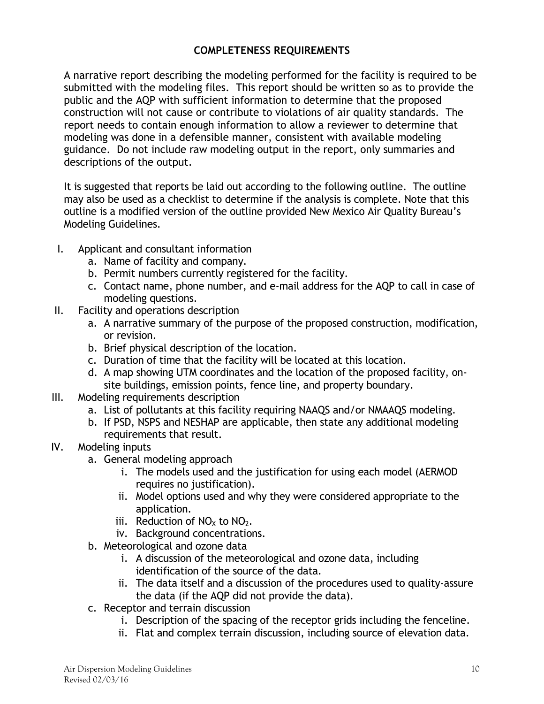# **COMPLETENESS REQUIREMENTS**

A narrative report describing the modeling performed for the facility is required to be submitted with the modeling files. This report should be written so as to provide the public and the AQP with sufficient information to determine that the proposed construction will not cause or contribute to violations of air quality standards. The report needs to contain enough information to allow a reviewer to determine that modeling was done in a defensible manner, consistent with available modeling guidance. Do not include raw modeling output in the report, only summaries and descriptions of the output.

It is suggested that reports be laid out according to the following outline. The outline may also be used as a checklist to determine if the analysis is complete. Note that this outline is a modified version of the outline provided New Mexico Air Quality Bureau's Modeling Guidelines.

- I. Applicant and consultant information
	- a. Name of facility and company.
	- b. Permit numbers currently registered for the facility.
	- c. Contact name, phone number, and e-mail address for the AQP to call in case of modeling questions.
- II. Facility and operations description
	- a. A narrative summary of the purpose of the proposed construction, modification, or revision.
	- b. Brief physical description of the location.
	- c. Duration of time that the facility will be located at this location.
	- d. A map showing UTM coordinates and the location of the proposed facility, onsite buildings, emission points, fence line, and property boundary.
- III. Modeling requirements description
	- a. List of pollutants at this facility requiring NAAQS and/or NMAAQS modeling.
	- b. If PSD, NSPS and NESHAP are applicable, then state any additional modeling requirements that result.
- IV. Modeling inputs
	- a. General modeling approach
		- i. The models used and the justification for using each model (AERMOD requires no justification).
		- ii. Model options used and why they were considered appropriate to the application.
		- iii. Reduction of  $NO<sub>X</sub>$  to  $NO<sub>2</sub>$ .
		- iv. Background concentrations.
	- b. Meteorological and ozone data
		- i. A discussion of the meteorological and ozone data, including identification of the source of the data.
		- ii. The data itself and a discussion of the procedures used to quality-assure the data (if the AQP did not provide the data).
	- c. Receptor and terrain discussion
		- i. Description of the spacing of the receptor grids including the fenceline.
		- ii. Flat and complex terrain discussion, including source of elevation data.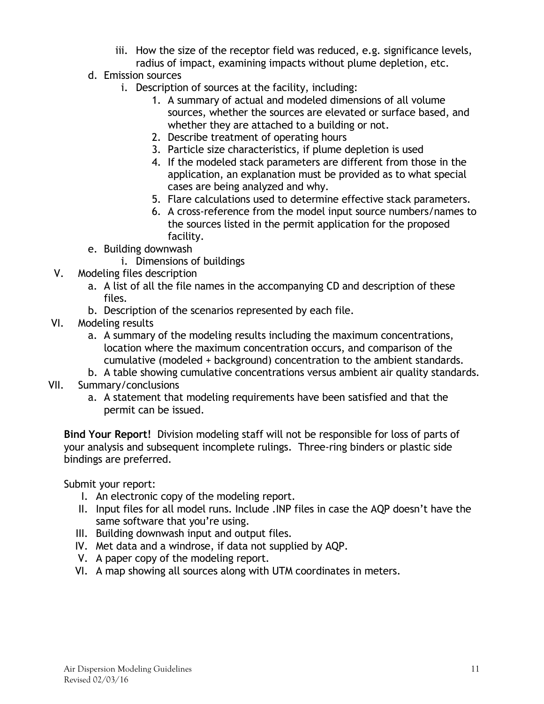- iii. How the size of the receptor field was reduced, e.g. significance levels, radius of impact, examining impacts without plume depletion, etc.
- d. Emission sources
	- i. Description of sources at the facility, including:
		- 1. A summary of actual and modeled dimensions of all volume sources, whether the sources are elevated or surface based, and whether they are attached to a building or not.
		- 2. Describe treatment of operating hours
		- 3. Particle size characteristics, if plume depletion is used
		- 4. If the modeled stack parameters are different from those in the application, an explanation must be provided as to what special cases are being analyzed and why.
		- 5. Flare calculations used to determine effective stack parameters.
		- 6. A cross-reference from the model input source numbers/names to the sources listed in the permit application for the proposed facility.
- e. Building downwash
	- i. Dimensions of buildings
- V. Modeling files description
	- a. A list of all the file names in the accompanying CD and description of these files.
	- b. Description of the scenarios represented by each file.
- VI. Modeling results
	- a. A summary of the modeling results including the maximum concentrations, location where the maximum concentration occurs, and comparison of the cumulative (modeled + background) concentration to the ambient standards.
	- b. A table showing cumulative concentrations versus ambient air quality standards.
- VII. Summary/conclusions
	- a. A statement that modeling requirements have been satisfied and that the permit can be issued.

**Bind Your Report!** Division modeling staff will not be responsible for loss of parts of your analysis and subsequent incomplete rulings. Three-ring binders or plastic side bindings are preferred.

Submit your report:

- I. An electronic copy of the modeling report.
- II. Input files for all model runs. Include .INP files in case the AQP doesn't have the same software that you're using.
- III. Building downwash input and output files.
- IV. Met data and a windrose, if data not supplied by AQP.
- V. A paper copy of the modeling report.
- <span id="page-10-0"></span>VI. A map showing all sources along with UTM coordinates in meters.